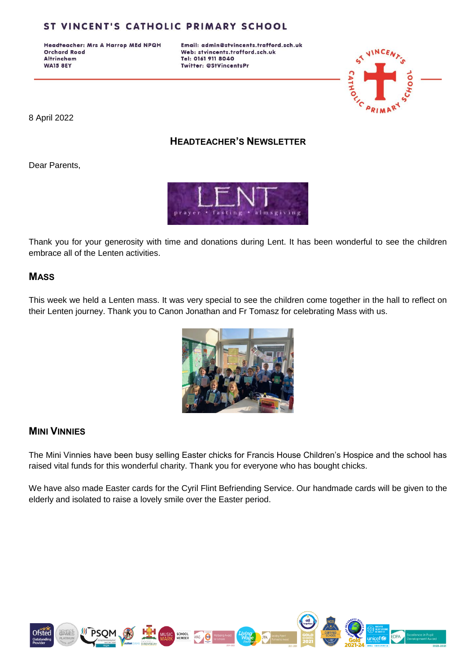## ST VINCENT'S CATHOLIC PRIMARY SCHOOL

Headteacher: Mrs A Harrop MEd NPQH **Orchard Road Altrincham WA15 8EY** 

Email: admin@stvincents.trafford.sch.uk Web: stvincents.trafford.sch.uk Tel: 0161 911 8040 Twitter: @StVincentsPr



8 April 2022

### **HEADTEACHER'S NEWSLETTER**

Dear Parents,



Thank you for your generosity with time and donations during Lent. It has been wonderful to see the children embrace all of the Lenten activities.

#### **MASS**

This week we held a Lenten mass. It was very special to see the children come together in the hall to reflect on their Lenten journey. Thank you to Canon Jonathan and Fr Tomasz for celebrating Mass with us.



#### **MINI VINNIES**

The Mini Vinnies have been busy selling Easter chicks for Francis House Children's Hospice and the school has raised vital funds for this wonderful charity. Thank you for everyone who has bought chicks.

We have also made Easter cards for the Cyril Flint Befriending Service. Our handmade cards will be given to the elderly and isolated to raise a lovely smile over the Easter period.

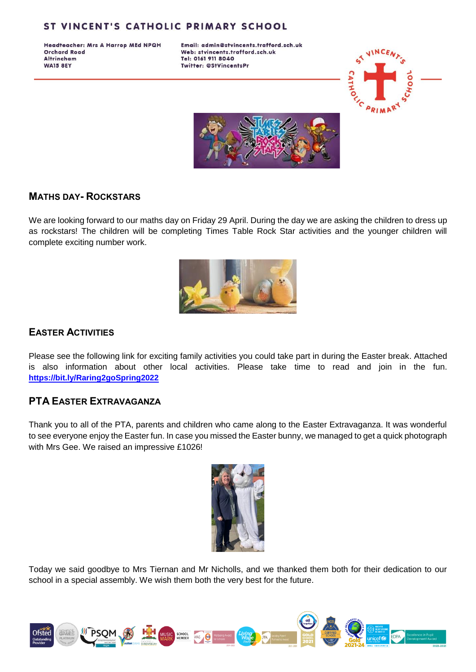## ST VINCENT'S CATHOLIC PRIMARY SCHOOL

Headteacher: Mrs A Harrop MEd NPQH **Orchard Road Altrincham WA15 8EY** 

Email: admin@stvincents.trafford.sch.uk Web: stvincents.trafford.sch.uk Tel: 0161 911 8040 Twitter: @StVincentsPr





#### **MATHS DAY- ROCKSTARS**

We are looking forward to our maths day on Friday 29 April. During the day we are asking the children to dress up as rockstars! The children will be completing Times Table Rock Star activities and the younger children will complete exciting number work.



# **EASTER ACTIVITIES**

Please see the following link for exciting family activities you could take part in during the Easter break. Attached is also information about other local activities. Please take time to read and join in the fun. **<https://bit.ly/Raring2goSpring2022>**

### **PTA EASTER EXTRAVAGANZA**

Thank you to all of the PTA, parents and children who came along to the Easter Extravaganza. It was wonderful to see everyone enjoy the Easter fun. In case you missed the Easter bunny, we managed to get a quick photograph with Mrs Gee. We raised an impressive £1026!



Today we said goodbye to Mrs Tiernan and Mr Nicholls, and we thanked them both for their dedication to our school in a special assembly. We wish them both the very best for the future.